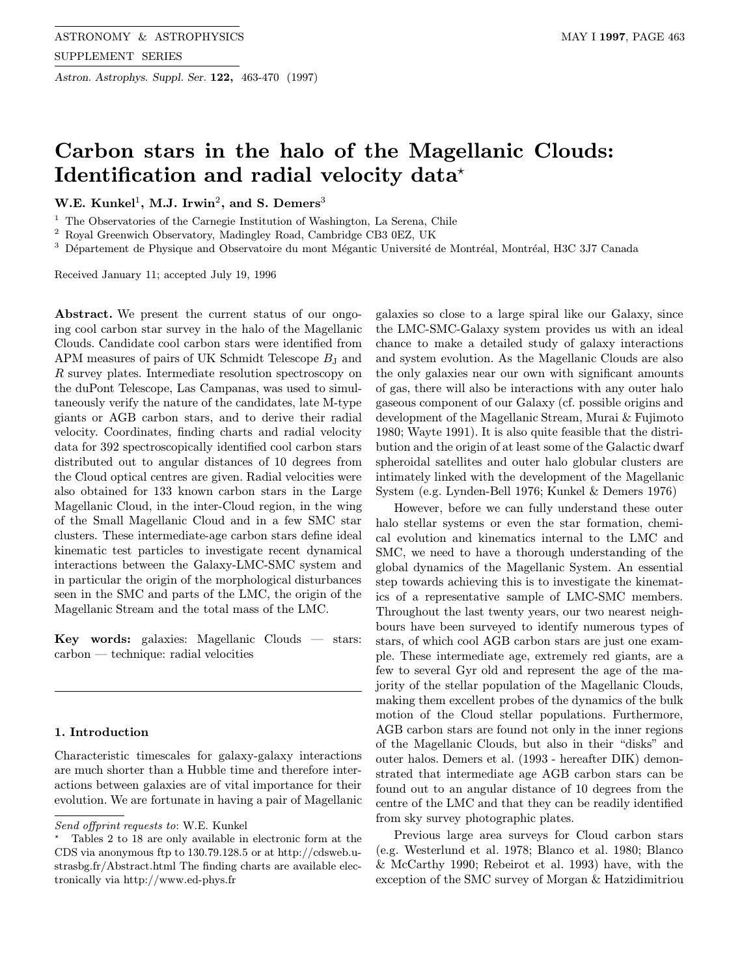Astron. Astrophys. Suppl. Ser. 122, 463-470 (1997)

# Carbon stars in the halo of the Magellanic Clouds: Identification and radial velocity data<sup>\*</sup>

W.E. Kunkel<sup>1</sup>, M.J. Irwin<sup>2</sup>, and S. Demers<sup>3</sup>

 $1$  The Observatories of the Carnegie Institution of Washington, La Serena, Chile

<sup>2</sup> Royal Greenwich Observatory, Madingley Road, Cambridge CB3 0EZ, UK

 $3$  Département de Physique and Observatoire du mont Mégantic Université de Montréal, Montréal, H3C 3J7 Canada

Received January 11; accepted July 19, 1996

Abstract. We present the current status of our ongoing cool carbon star survey in the halo of the Magellanic Clouds. Candidate cool carbon stars were identified from APM measures of pairs of UK Schmidt Telescope  $B_J$  and R survey plates. Intermediate resolution spectroscopy on the duPont Telescope, Las Campanas, was used to simultaneously verify the nature of the candidates, late M-type giants or AGB carbon stars, and to derive their radial velocity. Coordinates, finding charts and radial velocity data for 392 spectroscopically identified cool carbon stars distributed out to angular distances of 10 degrees from the Cloud optical centres are given. Radial velocities were also obtained for 133 known carbon stars in the Large Magellanic Cloud, in the inter-Cloud region, in the wing of the Small Magellanic Cloud and in a few SMC star clusters. These intermediate-age carbon stars define ideal kinematic test particles to investigate recent dynamical interactions between the Galaxy-LMC-SMC system and in particular the origin of the morphological disturbances seen in the SMC and parts of the LMC, the origin of the Magellanic Stream and the total mass of the LMC.

Key words: galaxies: Magellanic Clouds — stars: carbon — technique: radial velocities

# 1. Introduction

Characteristic timescales for galaxy-galaxy interactions are much shorter than a Hubble time and therefore interactions between galaxies are of vital importance for their evolution. We are fortunate in having a pair of Magellanic

galaxies so close to a large spiral like our Galaxy, since the LMC-SMC-Galaxy system provides us with an ideal chance to make a detailed study of galaxy interactions and system evolution. As the Magellanic Clouds are also the only galaxies near our own with significant amounts of gas, there will also be interactions with any outer halo gaseous component of our Galaxy (cf. possible origins and development of the Magellanic Stream, Murai & Fujimoto 1980; Wayte 1991). It is also quite feasible that the distribution and the origin of at least some of the Galactic dwarf spheroidal satellites and outer halo globular clusters are intimately linked with the development of the Magellanic System (e.g. Lynden-Bell 1976; Kunkel & Demers 1976)

However, before we can fully understand these outer halo stellar systems or even the star formation, chemical evolution and kinematics internal to the LMC and SMC, we need to have a thorough understanding of the global dynamics of the Magellanic System. An essential step towards achieving this is to investigate the kinematics of a representative sample of LMC-SMC members. Throughout the last twenty years, our two nearest neighbours have been surveyed to identify numerous types of stars, of which cool AGB carbon stars are just one example. These intermediate age, extremely red giants, are a few to several Gyr old and represent the age of the majority of the stellar population of the Magellanic Clouds, making them excellent probes of the dynamics of the bulk motion of the Cloud stellar populations. Furthermore, AGB carbon stars are found not only in the inner regions of the Magellanic Clouds, but also in their "disks" and outer halos. Demers et al. (1993 - hereafter DIK) demonstrated that intermediate age AGB carbon stars can be found out to an angular distance of 10 degrees from the centre of the LMC and that they can be readily identified from sky survey photographic plates.

Previous large area surveys for Cloud carbon stars (e.g. Westerlund et al. 1978; Blanco et al. 1980; Blanco & McCarthy 1990; Rebeirot et al. 1993) have, with the exception of the SMC survey of Morgan & Hatzidimitriou

Send offprint requests to: W.E. Kunkel

<sup>?</sup> Tables 2 to 18 are only available in electronic form at the CDS via anonymous ftp to 130.79.128.5 or at http://cdsweb.ustrasbg.fr/Abstract.html The finding charts are available electronically via http://www.ed-phys.fr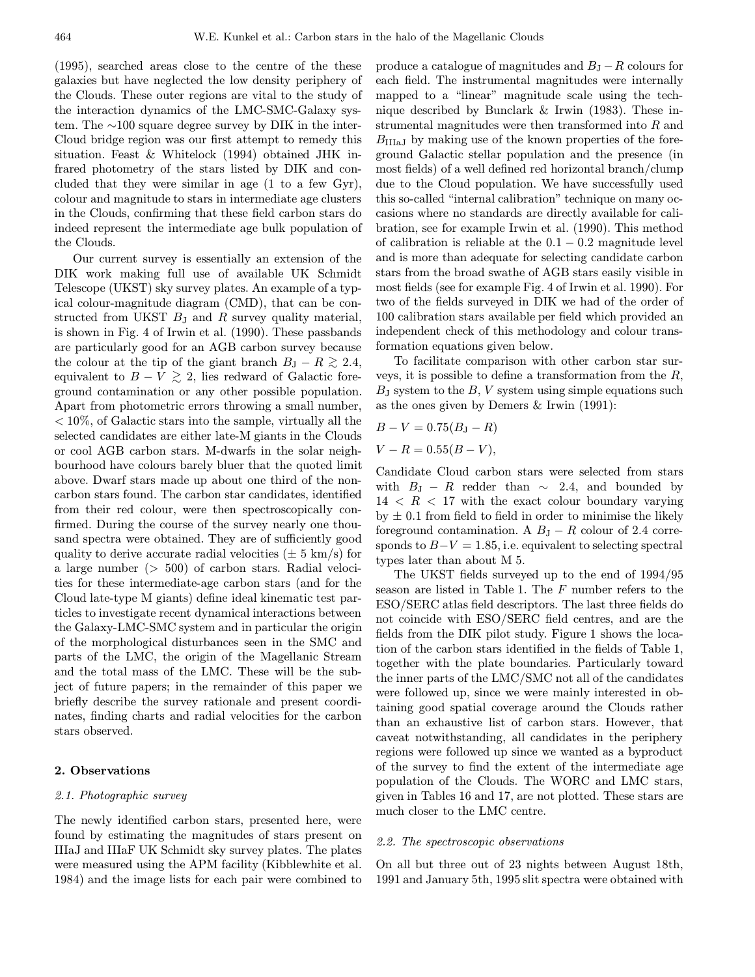(1995), searched areas close to the centre of the these galaxies but have neglected the low density periphery of the Clouds. These outer regions are vital to the study of the interaction dynamics of the LMC-SMC-Galaxy system. The ∼100 square degree survey by DIK in the inter-Cloud bridge region was our first attempt to remedy this situation. Feast & Whitelock (1994) obtained JHK infrared photometry of the stars listed by DIK and concluded that they were similar in age (1 to a few Gyr), colour and magnitude to stars in intermediate age clusters in the Clouds, confirming that these field carbon stars do indeed represent the intermediate age bulk population of the Clouds.

Our current survey is essentially an extension of the DIK work making full use of available UK Schmidt Telescope (UKST) sky survey plates. An example of a typical colour-magnitude diagram (CMD), that can be constructed from UKST  $B_J$  and R survey quality material, is shown in Fig. 4 of Irwin et al. (1990). These passbands are particularly good for an AGB carbon survey because the colour at the tip of the giant branch  $B_J - R \gtrsim 2.4$ , equivalent to  $B - V \gtrsim 2$ , lies redward of Galactic foreground contamination or any other possible population. Apart from photometric errors throwing a small number, < 10%, of Galactic stars into the sample, virtually all the selected candidates are either late-M giants in the Clouds or cool AGB carbon stars. M-dwarfs in the solar neighbourhood have colours barely bluer that the quoted limit above. Dwarf stars made up about one third of the noncarbon stars found. The carbon star candidates, identified from their red colour, were then spectroscopically confirmed. During the course of the survey nearly one thousand spectra were obtained. They are of sufficiently good quality to derive accurate radial velocities ( $\pm$  5 km/s) for a large number (> 500) of carbon stars. Radial velocities for these intermediate-age carbon stars (and for the Cloud late-type M giants) define ideal kinematic test particles to investigate recent dynamical interactions between the Galaxy-LMC-SMC system and in particular the origin of the morphological disturbances seen in the SMC and parts of the LMC, the origin of the Magellanic Stream and the total mass of the LMC. These will be the subject of future papers; in the remainder of this paper we briefly describe the survey rationale and present coordinates, finding charts and radial velocities for the carbon stars observed.

#### 2. Observations

# 2.1. Photographic survey

The newly identified carbon stars, presented here, were found by estimating the magnitudes of stars present on IIIaJ and IIIaF UK Schmidt sky survey plates. The plates were measured using the APM facility (Kibblewhite et al. 1984) and the image lists for each pair were combined to

produce a catalogue of magnitudes and  $B<sub>J</sub> - R$  colours for each field. The instrumental magnitudes were internally mapped to a "linear" magnitude scale using the technique described by Bunclark & Irwin (1983). These instrumental magnitudes were then transformed into R and  $B<sub>IIIa,I</sub>$  by making use of the known properties of the foreground Galactic stellar population and the presence (in most fields) of a well defined red horizontal branch/clump due to the Cloud population. We have successfully used this so-called "internal calibration" technique on many occasions where no standards are directly available for calibration, see for example Irwin et al. (1990). This method of calibration is reliable at the  $0.1 - 0.2$  magnitude level and is more than adequate for selecting candidate carbon stars from the broad swathe of AGB stars easily visible in most fields (see for example Fig. 4 of Irwin et al. 1990). For two of the fields surveyed in DIK we had of the order of 100 calibration stars available per field which provided an independent check of this methodology and colour transformation equations given below.

To facilitate comparison with other carbon star surveys, it is possible to define a transformation from the  $R$ ,  $B<sub>J</sub>$  system to the B, V system using simple equations such as the ones given by Demers & Irwin (1991):

$$
B - V = 0.75(B_{\rm J} - R)
$$

$$
V - R = 0.55(B - V),
$$

Candidate Cloud carbon stars were selected from stars with  $B_J - R$  redder than  $\sim$  2.4, and bounded by  $14 \leq R \leq 17$  with the exact colour boundary varying by  $\pm$  0.1 from field to field in order to minimise the likely foreground contamination. A  $B_J - R$  colour of 2.4 corresponds to  $B-V = 1.85$ , i.e. equivalent to selecting spectral types later than about M 5.

The UKST fields surveyed up to the end of 1994/95 season are listed in Table 1. The F number refers to the ESO/SERC atlas field descriptors. The last three fields do not coincide with ESO/SERC field centres, and are the fields from the DIK pilot study. Figure 1 shows the location of the carbon stars identified in the fields of Table 1, together with the plate boundaries. Particularly toward the inner parts of the LMC/SMC not all of the candidates were followed up, since we were mainly interested in obtaining good spatial coverage around the Clouds rather than an exhaustive list of carbon stars. However, that caveat notwithstanding, all candidates in the periphery regions were followed up since we wanted as a byproduct of the survey to find the extent of the intermediate age population of the Clouds. The WORC and LMC stars, given in Tables 16 and 17, are not plotted. These stars are much closer to the LMC centre.

# 2.2. The spectroscopic observations

On all but three out of 23 nights between August 18th, 1991 and January 5th, 1995 slit spectra were obtained with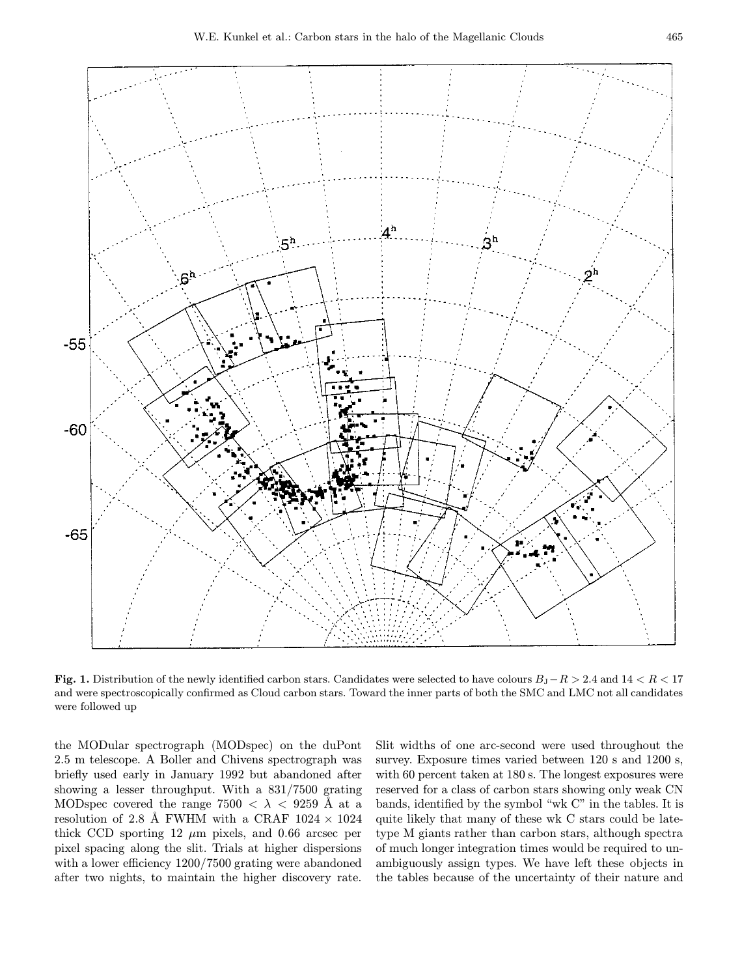

Fig. 1. Distribution of the newly identified carbon stars. Candidates were selected to have colours  $B_J-R > 2.4$  and  $14 < R < 17$ and were spectroscopically confirmed as Cloud carbon stars. Toward the inner parts of both the SMC and LMC not all candidates were followed up

the MODular spectrograph (MODspec) on the duPont 2.5 m telescope. A Boller and Chivens spectrograph was briefly used early in January 1992 but abandoned after showing a lesser throughput. With a 831/7500 grating MODspec covered the range 7500  $\langle \lambda \rangle$  < 9259 Å at a resolution of 2.8 Å FWHM with a CRAF  $1024 \times 1024$ thick CCD sporting 12  $\mu$ m pixels, and 0.66 arcsec per pixel spacing along the slit. Trials at higher dispersions with a lower efficiency  $1200/7500$  grating were abandoned after two nights, to maintain the higher discovery rate.

Slit widths of one arc-second were used throughout the survey. Exposure times varied between  $120$  s and  $1200$  s, with 60 percent taken at 180 s. The longest exposures were reserved for a class of carbon stars showing only weak CN bands, identified by the symbol "wk C" in the tables. It is quite likely that many of these wk C stars could be latetype M giants rather than carbon stars, although spectra of much longer integration times would be required to unambiguously assign types. We have left these objects in the tables because of the uncertainty of their nature and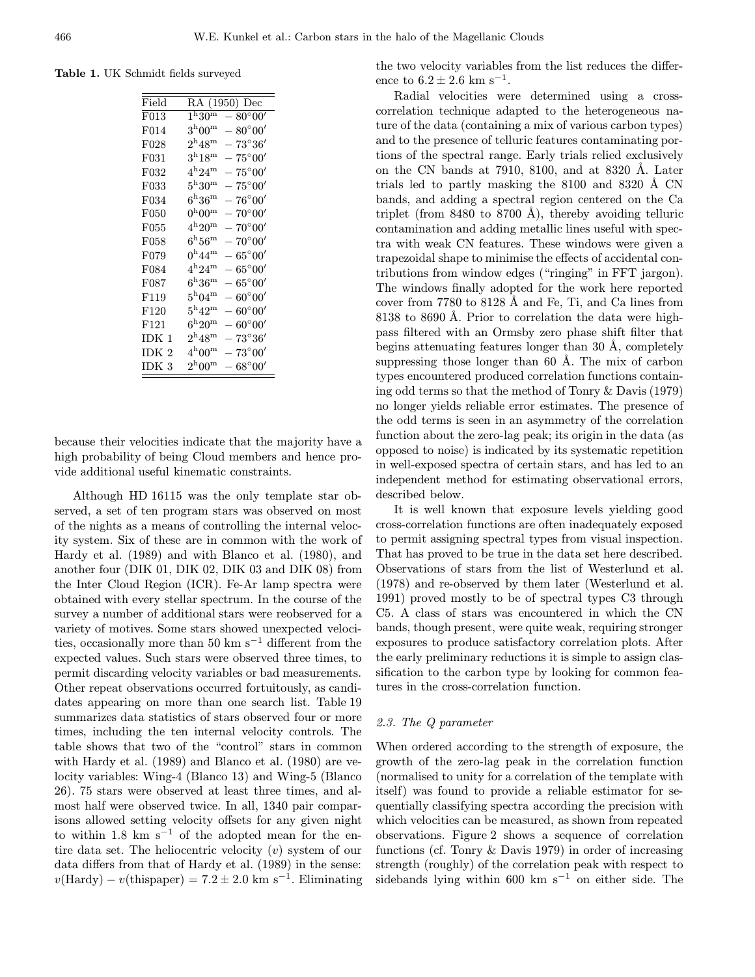Table 1. UK Schmidt fields surveyed

| Field            | RA (1950) Dec                                        |
|------------------|------------------------------------------------------|
| F013             | $1^{\rm h}30^{\rm m}$<br>$-80^{\circ}00'$            |
| F014             | $3^{\rm h}00^{\rm m}$<br>$ 80^{\circ}00'$            |
| F028             | $2^{\rm h}48^{\rm m}$<br>$ 73^{\circ}36'$            |
| F031             | $3^{\rm h}18^{\rm m}$<br>$-75^{\circ}00'$            |
| F032             | $4^{\rm h}24^{\rm m}$<br>$-\,75^{\circ}00'$          |
| F033             | $5^{\rm h}30^{\rm m}$<br>$-75^{\circ}00'$            |
| F034             | $\rm 6^n36^m$<br>$-76^{\circ}00'$                    |
| F050             | $0^{\rm h}00^{\rm m}$<br>$-70^{\circ}00'$            |
| F055             | $4^{\rm h}20^{\rm m}$<br>$ 70^{\circ}00'$            |
| F058             | $6^{\rm h}56^{\rm m}$<br>$-$ 70°00 $^{\prime\prime}$ |
| F079             | $0^{\rm h}44^{\rm m}$<br>$-65^{\circ}00'$            |
| F084             | $4^{\rm h}24^{\rm m}$<br>$ 65^{\circ}00'$            |
| F087             | $\rm 6^n36^m$<br>$-65^{\circ}00'$                    |
| F119             | $5^{\rm h}04^{\rm m}$<br>$-60^{\circ}00'$            |
| F120             | $5^{\rm h}42^{\rm m}$<br>$-60^{\circ}00'$            |
| F121             | $6^{\rm h}20^{\rm m}$<br>$60^{\circ}00'$             |
| IDK 1            | $2^{\rm h}48^{\rm m}$<br>$73^{\circ}36'$             |
| IDK <sub>2</sub> | $4^{\rm h}00^{\rm m}$<br>$-\,73^\circ 00'$           |
| IDK <sub>3</sub> | $2^{\rm h}00^{\rm m}$<br>$ 68^{\circ}00'$            |

because their velocities indicate that the majority have a high probability of being Cloud members and hence provide additional useful kinematic constraints.

Although HD 16115 was the only template star observed, a set of ten program stars was observed on most of the nights as a means of controlling the internal velocity system. Six of these are in common with the work of Hardy et al. (1989) and with Blanco et al. (1980), and another four (DIK 01, DIK 02, DIK 03 and DIK 08) from the Inter Cloud Region (ICR). Fe-Ar lamp spectra were obtained with every stellar spectrum. In the course of the survey a number of additional stars were reobserved for a variety of motives. Some stars showed unexpected velocities, occasionally more than 50 km s<sup> $-1$ </sup> different from the expected values. Such stars were observed three times, to permit discarding velocity variables or bad measurements. Other repeat observations occurred fortuitously, as candidates appearing on more than one search list. Table 19 summarizes data statistics of stars observed four or more times, including the ten internal velocity controls. The table shows that two of the "control" stars in common with Hardy et al. (1989) and Blanco et al. (1980) are velocity variables: Wing-4 (Blanco 13) and Wing-5 (Blanco 26). 75 stars were observed at least three times, and almost half were observed twice. In all, 1340 pair comparisons allowed setting velocity offsets for any given night to within 1.8 km s<sup> $-1$ </sup> of the adopted mean for the entire data set. The heliocentric velocity  $(v)$  system of our data differs from that of Hardy et al. (1989) in the sense:  $v(\text{Hardy}) - v(\text{thispaper}) = 7.2 \pm 2.0 \text{ km s}^{-1}$ . Eliminating the two velocity variables from the list reduces the difference to  $6.2 \pm 2.6$  km s<sup>-1</sup>.

Radial velocities were determined using a crosscorrelation technique adapted to the heterogeneous nature of the data (containing a mix of various carbon types) and to the presence of telluric features contaminating portions of the spectral range. Early trials relied exclusively on the CN bands at  $7910, 8100,$  and at  $8320$  Å. Later trials led to partly masking the  $8100$  and  $8320$  Å CN bands, and adding a spectral region centered on the Ca triplet (from  $8480$  to  $8700$  Å), thereby avoiding telluric contamination and adding metallic lines useful with spectra with weak CN features. These windows were given a trapezoidal shape to minimise the effects of accidental contributions from window edges ("ringing" in FFT jargon). The windows finally adopted for the work here reported cover from 7780 to 8128 Å and Fe, Ti, and Ca lines from 8138 to 8690 Å. Prior to correlation the data were highpass filtered with an Ormsby zero phase shift filter that begins attenuating features longer than  $30 \text{ Å}$ , completely suppressing those longer than  $60 \text{ Å}$ . The mix of carbon types encountered produced correlation functions containing odd terms so that the method of Tonry & Davis (1979) no longer yields reliable error estimates. The presence of the odd terms is seen in an asymmetry of the correlation function about the zero-lag peak; its origin in the data (as opposed to noise) is indicated by its systematic repetition in well-exposed spectra of certain stars, and has led to an independent method for estimating observational errors, described below.

It is well known that exposure levels yielding good cross-correlation functions are often inadequately exposed to permit assigning spectral types from visual inspection. That has proved to be true in the data set here described. Observations of stars from the list of Westerlund et al. (1978) and re-observed by them later (Westerlund et al. 1991) proved mostly to be of spectral types C3 through C5. A class of stars was encountered in which the CN bands, though present, were quite weak, requiring stronger exposures to produce satisfactory correlation plots. After the early preliminary reductions it is simple to assign classification to the carbon type by looking for common features in the cross-correlation function.

#### 2.3. The Q parameter

When ordered according to the strength of exposure, the growth of the zero-lag peak in the correlation function (normalised to unity for a correlation of the template with itself) was found to provide a reliable estimator for sequentially classifying spectra according the precision with which velocities can be measured, as shown from repeated observations. Figure 2 shows a sequence of correlation functions (cf. Tonry & Davis 1979) in order of increasing strength (roughly) of the correlation peak with respect to sidebands lying within 600 km s<sup> $-1$ </sup> on either side. The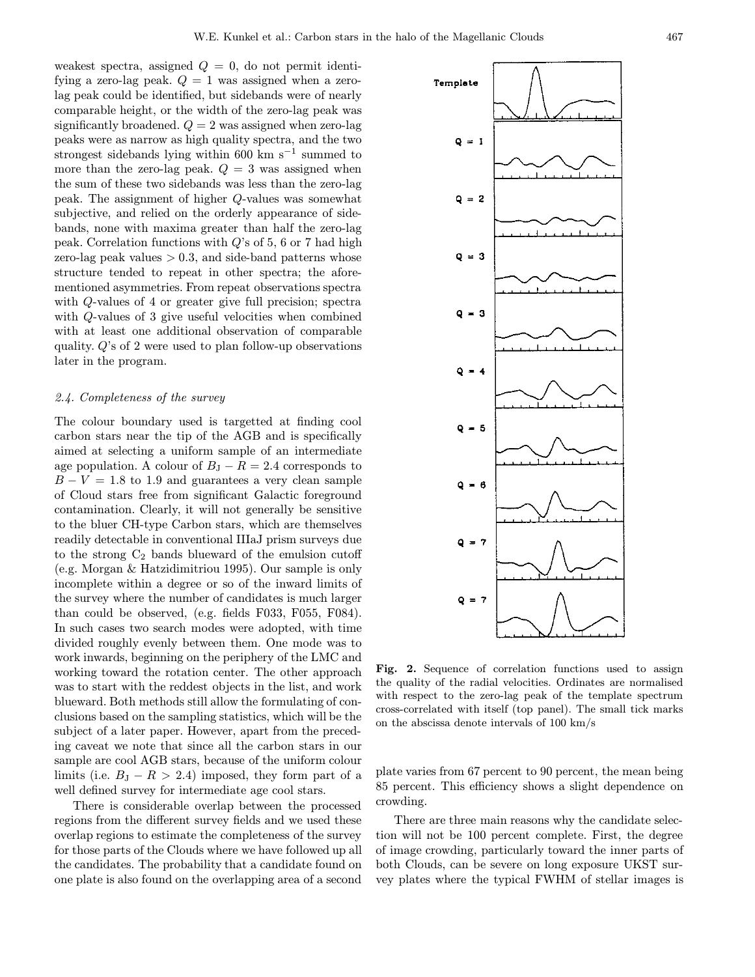weakest spectra, assigned  $Q = 0$ , do not permit identifying a zero-lag peak.  $Q = 1$  was assigned when a zerolag peak could be identified, but sidebands were of nearly comparable height, or the width of the zero-lag peak was significantly broadened.  $Q = 2$  was assigned when zero-lag peaks were as narrow as high quality spectra, and the two strongest sidebands lying within 600 km s<sup> $-1$ </sup> summed to more than the zero-lag peak.  $Q = 3$  was assigned when the sum of these two sidebands was less than the zero-lag peak. The assignment of higher Q-values was somewhat subjective, and relied on the orderly appearance of sidebands, none with maxima greater than half the zero-lag peak. Correlation functions with  $Q$ 's of 5, 6 or 7 had high zero-lag peak values  $> 0.3$ , and side-band patterns whose structure tended to repeat in other spectra; the aforementioned asymmetries. From repeat observations spectra with Q-values of 4 or greater give full precision; spectra with Q-values of 3 give useful velocities when combined with at least one additional observation of comparable quality. Q's of 2 were used to plan follow-up observations later in the program.

#### 2.4. Completeness of the survey

The colour boundary used is targetted at finding cool carbon stars near the tip of the AGB and is specifically aimed at selecting a uniform sample of an intermediate age population. A colour of  $B_J - R = 2.4$  corresponds to  $B - V = 1.8$  to 1.9 and guarantees a very clean sample of Cloud stars free from significant Galactic foreground contamination. Clearly, it will not generally be sensitive to the bluer CH-type Carbon stars, which are themselves readily detectable in conventional IIIaJ prism surveys due to the strong  $C_2$  bands blueward of the emulsion cutoff (e.g. Morgan & Hatzidimitriou 1995). Our sample is only incomplete within a degree or so of the inward limits of the survey where the number of candidates is much larger than could be observed, (e.g. fields F033, F055, F084). In such cases two search modes were adopted, with time divided roughly evenly between them. One mode was to work inwards, beginning on the periphery of the LMC and working toward the rotation center. The other approach was to start with the reddest objects in the list, and work blueward. Both methods still allow the formulating of conclusions based on the sampling statistics, which will be the subject of a later paper. However, apart from the preceding caveat we note that since all the carbon stars in our sample are cool AGB stars, because of the uniform colour limits (i.e.  $B_J - R > 2.4$ ) imposed, they form part of a well defined survey for intermediate age cool stars.

There is considerable overlap between the processed regions from the different survey fields and we used these overlap regions to estimate the completeness of the survey for those parts of the Clouds where we have followed up all the candidates. The probability that a candidate found on one plate is also found on the overlapping area of a second



Fig. 2. Sequence of correlation functions used to assign the quality of the radial velocities. Ordinates are normalised with respect to the zero-lag peak of the template spectrum cross-correlated with itself (top panel). The small tick marks on the abscissa denote intervals of 100 km/s

plate varies from 67 percent to 90 percent, the mean being 85 percent. This efficiency shows a slight dependence on crowding.

There are three main reasons why the candidate selection will not be 100 percent complete. First, the degree of image crowding, particularly toward the inner parts of both Clouds, can be severe on long exposure UKST survey plates where the typical FWHM of stellar images is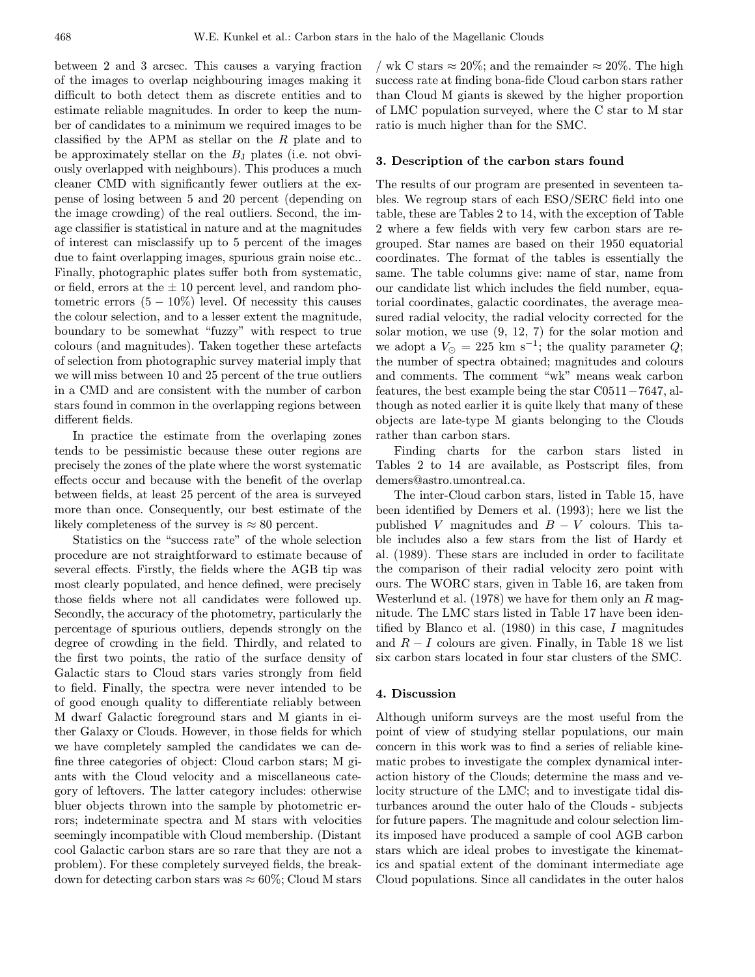between 2 and 3 arcsec. This causes a varying fraction of the images to overlap neighbouring images making it difficult to both detect them as discrete entities and to estimate reliable magnitudes. In order to keep the number of candidates to a minimum we required images to be classified by the APM as stellar on the R plate and to be approximately stellar on the  $B_J$  plates (i.e. not obviously overlapped with neighbours). This produces a much cleaner CMD with significantly fewer outliers at the expense of losing between 5 and 20 percent (depending on the image crowding) of the real outliers. Second, the image classifier is statistical in nature and at the magnitudes of interest can misclassify up to 5 percent of the images due to faint overlapping images, spurious grain noise etc.. Finally, photographic plates suffer both from systematic, or field, errors at the  $\pm 10$  percent level, and random photometric errors  $(5 - 10\%)$  level. Of necessity this causes the colour selection, and to a lesser extent the magnitude, boundary to be somewhat "fuzzy" with respect to true colours (and magnitudes). Taken together these artefacts of selection from photographic survey material imply that we will miss between 10 and 25 percent of the true outliers in a CMD and are consistent with the number of carbon stars found in common in the overlapping regions between different fields.

In practice the estimate from the overlaping zones tends to be pessimistic because these outer regions are precisely the zones of the plate where the worst systematic effects occur and because with the benefit of the overlap between fields, at least 25 percent of the area is surveyed more than once. Consequently, our best estimate of the likely completeness of the survey is  $\approx 80$  percent.

Statistics on the "success rate" of the whole selection procedure are not straightforward to estimate because of several effects. Firstly, the fields where the AGB tip was most clearly populated, and hence defined, were precisely those fields where not all candidates were followed up. Secondly, the accuracy of the photometry, particularly the percentage of spurious outliers, depends strongly on the degree of crowding in the field. Thirdly, and related to the first two points, the ratio of the surface density of Galactic stars to Cloud stars varies strongly from field to field. Finally, the spectra were never intended to be of good enough quality to differentiate reliably between M dwarf Galactic foreground stars and M giants in either Galaxy or Clouds. However, in those fields for which we have completely sampled the candidates we can define three categories of object: Cloud carbon stars; M giants with the Cloud velocity and a miscellaneous category of leftovers. The latter category includes: otherwise bluer objects thrown into the sample by photometric errors; indeterminate spectra and M stars with velocities seemingly incompatible with Cloud membership. (Distant cool Galactic carbon stars are so rare that they are not a problem). For these completely surveyed fields, the breakdown for detecting carbon stars was  $\approx 60\%$ ; Cloud M stars

/ wk C stars  $\approx 20\%$ ; and the remainder  $\approx 20\%$ . The high success rate at finding bona-fide Cloud carbon stars rather than Cloud M giants is skewed by the higher proportion of LMC population surveyed, where the C star to M star ratio is much higher than for the SMC.

# 3. Description of the carbon stars found

The results of our program are presented in seventeen tables. We regroup stars of each ESO/SERC field into one table, these are Tables 2 to 14, with the exception of Table 2 where a few fields with very few carbon stars are regrouped. Star names are based on their 1950 equatorial coordinates. The format of the tables is essentially the same. The table columns give: name of star, name from our candidate list which includes the field number, equatorial coordinates, galactic coordinates, the average measured radial velocity, the radial velocity corrected for the solar motion, we use (9, 12, 7) for the solar motion and we adopt a  $V_{\odot} = 225$  km s<sup>-1</sup>; the quality parameter Q; the number of spectra obtained; magnitudes and colours and comments. The comment "wk" means weak carbon features, the best example being the star C0511−7647, although as noted earlier it is quite lkely that many of these objects are late-type M giants belonging to the Clouds rather than carbon stars.

Finding charts for the carbon stars listed in Tables 2 to 14 are available, as Postscript files, from demers@astro.umontreal.ca.

The inter-Cloud carbon stars, listed in Table 15, have been identified by Demers et al. (1993); here we list the published V magnitudes and  $B - V$  colours. This table includes also a few stars from the list of Hardy et al. (1989). These stars are included in order to facilitate the comparison of their radial velocity zero point with ours. The WORC stars, given in Table 16, are taken from Westerlund et al.  $(1978)$  we have for them only an R magnitude. The LMC stars listed in Table 17 have been identified by Blanco et al.  $(1980)$  in this case, I magnitudes and  $R - I$  colours are given. Finally, in Table 18 we list six carbon stars located in four star clusters of the SMC.

### 4. Discussion

Although uniform surveys are the most useful from the point of view of studying stellar populations, our main concern in this work was to find a series of reliable kinematic probes to investigate the complex dynamical interaction history of the Clouds; determine the mass and velocity structure of the LMC; and to investigate tidal disturbances around the outer halo of the Clouds - subjects for future papers. The magnitude and colour selection limits imposed have produced a sample of cool AGB carbon stars which are ideal probes to investigate the kinematics and spatial extent of the dominant intermediate age Cloud populations. Since all candidates in the outer halos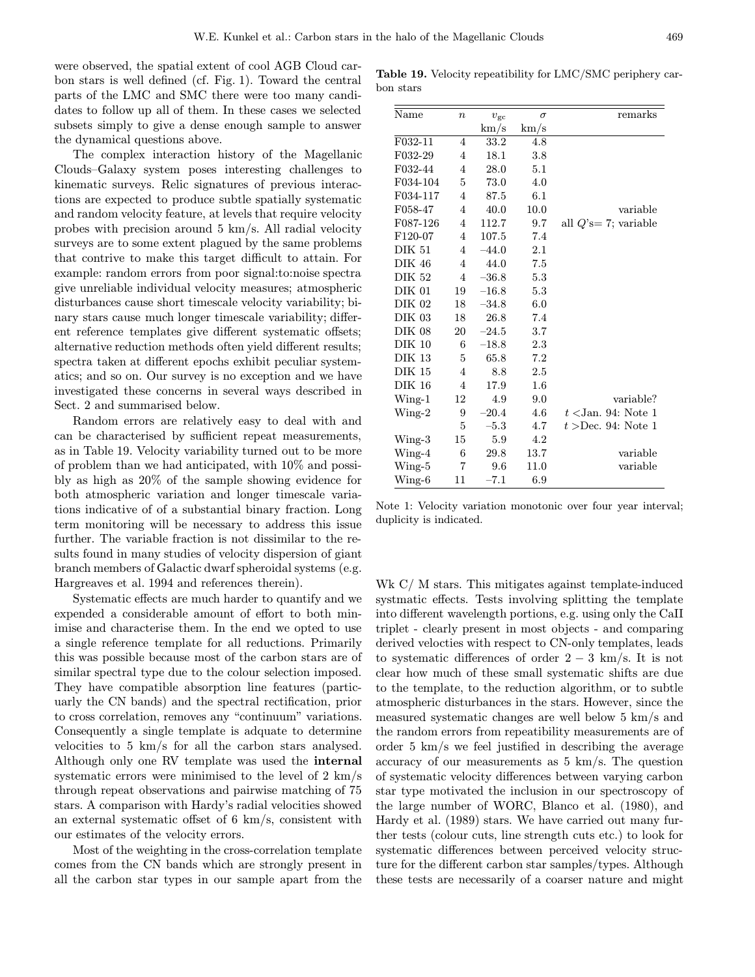were observed, the spatial extent of cool AGB Cloud carbon stars is well defined (cf. Fig. 1). Toward the central parts of the LMC and SMC there were too many candidates to follow up all of them. In these cases we selected subsets simply to give a dense enough sample to answer the dynamical questions above.

The complex interaction history of the Magellanic Clouds–Galaxy system poses interesting challenges to kinematic surveys. Relic signatures of previous interactions are expected to produce subtle spatially systematic and random velocity feature, at levels that require velocity probes with precision around 5 km/s. All radial velocity surveys are to some extent plagued by the same problems that contrive to make this target difficult to attain. For example: random errors from poor signal:to:noise spectra give unreliable individual velocity measures; atmospheric disturbances cause short timescale velocity variability; binary stars cause much longer timescale variability; different reference templates give different systematic offsets; alternative reduction methods often yield different results; spectra taken at different epochs exhibit peculiar systematics; and so on. Our survey is no exception and we have investigated these concerns in several ways described in Sect. 2 and summarised below.

Random errors are relatively easy to deal with and can be characterised by sufficient repeat measurements, as in Table 19. Velocity variability turned out to be more of problem than we had anticipated, with 10% and possibly as high as 20% of the sample showing evidence for both atmospheric variation and longer timescale variations indicative of of a substantial binary fraction. Long term monitoring will be necessary to address this issue further. The variable fraction is not dissimilar to the results found in many studies of velocity dispersion of giant branch members of Galactic dwarf spheroidal systems (e.g. Hargreaves et al. 1994 and references therein).

Systematic effects are much harder to quantify and we expended a considerable amount of effort to both minimise and characterise them. In the end we opted to use a single reference template for all reductions. Primarily this was possible because most of the carbon stars are of similar spectral type due to the colour selection imposed. They have compatible absorption line features (particuarly the CN bands) and the spectral rectification, prior to cross correlation, removes any "continuum" variations. Consequently a single template is adquate to determine velocities to 5 km/s for all the carbon stars analysed. Although only one RV template was used the internal systematic errors were minimised to the level of 2 km/s through repeat observations and pairwise matching of 75 stars. A comparison with Hardy's radial velocities showed an external systematic offset of 6 km/s, consistent with our estimates of the velocity errors.

Most of the weighting in the cross-correlation template comes from the CN bands which are strongly present in all the carbon star types in our sample apart from the

Table 19. Velocity repeatibility for LMC/SMC periphery carbon stars

| Name          | $\boldsymbol{n}$ | $v_{\rm gc}$ | $\sigma$ | remarks                 |
|---------------|------------------|--------------|----------|-------------------------|
|               |                  | km/s         | km/s     |                         |
| F032-11       | 4                | 33.2         | 4.8      |                         |
| F032-29       | 4                | 18.1         | 3.8      |                         |
| F032-44       | 4                | 28.0         | 5.1      |                         |
| F034-104      | 5                | 73.0         | 4.0      |                         |
| F034-117      | 4                | 87.5         | 6.1      |                         |
| F058-47       | $\overline{4}$   | 40.0         | 10.0     | variable                |
| F087-126      | 4                | 112.7        | 9.7      | all $Q$ 's= 7; variable |
| F120-07       | 4                | 107.5        | 7.4      |                         |
| <b>DIK 51</b> | 4                | $-44.0$      | $2.1\,$  |                         |
| DIK 46        | $\overline{4}$   | 44.0         | 7.5      |                         |
| <b>DIK 52</b> | 4                | $-36.8$      | 5.3      |                         |
| <b>DIK 01</b> | 19               | $-16.8$      | 5.3      |                         |
| DIK 02        | 18               | $-34.8$      | 6.0      |                         |
| <b>DIK 03</b> | 18               | 26.8         | 7.4      |                         |
| <b>DIK 08</b> | 20               | $-24.5$      | 3.7      |                         |
| <b>DIK 10</b> | 6                | $-18.8$      | 2.3      |                         |
| DIK 13        | 5                | 65.8         | 7.2      |                         |
| DIK 15        | 4                | 8.8          | 2.5      |                         |
| <b>DIK 16</b> | 4                | 17.9         | $1.6\,$  |                         |
| $Wing-1$      | 12               | 4.9          | 9.0      | variable?               |
| $Wing-2$      | 9                | $-20.4$      | 4.6      | $t$ < Jan. 94: Note 1   |
|               | 5                | $-5.3$       | 4.7      | $t >$ Dec. 94: Note 1   |
| $Wing-3$      | 15               | 5.9          | 4.2      |                         |
| $Wing-4$      | 6                | 29.8         | 13.7     | variable                |
| Wing-5        | 7                | 9.6          | 11.0     | variable                |
| Wing-6        | 11               | $-7.1$       | 6.9      |                         |

Note 1: Velocity variation monotonic over four year interval; duplicity is indicated.

Wk C/M stars. This mitigates against template-induced systmatic effects. Tests involving splitting the template into different wavelength portions, e.g. using only the CaII triplet - clearly present in most objects - and comparing derived velocties with respect to CN-only templates, leads to systematic differences of order  $2 - 3$  km/s. It is not clear how much of these small systematic shifts are due to the template, to the reduction algorithm, or to subtle atmospheric disturbances in the stars. However, since the measured systematic changes are well below 5 km/s and the random errors from repeatibility measurements are of order 5 km/s we feel justified in describing the average accuracy of our measurements as 5 km/s. The question of systematic velocity differences between varying carbon star type motivated the inclusion in our spectroscopy of the large number of WORC, Blanco et al. (1980), and Hardy et al. (1989) stars. We have carried out many further tests (colour cuts, line strength cuts etc.) to look for systematic differences between perceived velocity structure for the different carbon star samples/types. Although these tests are necessarily of a coarser nature and might